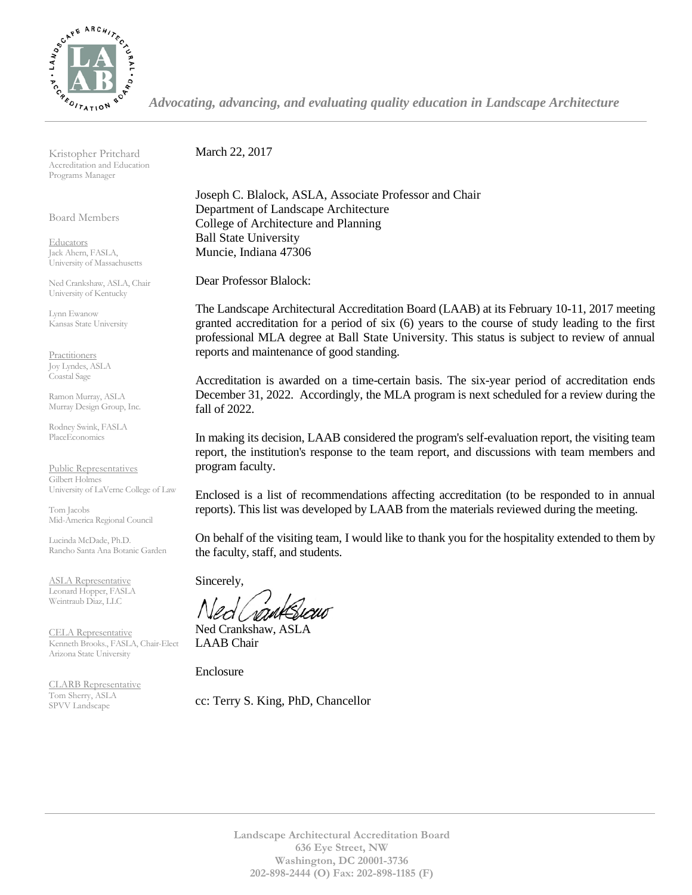

*Advocating, advancing, and evaluating quality education in Landscape Architecture*

Kristopher Pritchard Accreditation and Education Programs Manager

Board Members

Educators Jack Ahern, FASLA, University of Massachusetts

Ned Crankshaw, ASLA, Chair University of Kentucky

Lynn Ewanow Kansas State University

**Practitioners** Joy Lyndes, ASLA Coastal Sage

Ramon Murray, ASLA Murray Design Group, Inc.

Rodney Swink, FASLA PlaceEconomics

Public Representatives Gilbert Holmes University of LaVerne College of Law

Tom Jacobs Mid-America Regional Council

Lucinda McDade, Ph.D. Rancho Santa Ana Botanic Garden

ASLA Representative Leonard Hopper, FASLA Weintraub Diaz, LLC

CELA Representative Kenneth Brooks., FASLA, Chair-Elect Arizona State University

CLARB Representative Tom Sherry, ASLA SPVV Landscape

March 22, 2017

Joseph C. Blalock, ASLA, Associate Professor and Chair Department of Landscape Architecture College of Architecture and Planning Ball State University Muncie, Indiana 47306

Dear Professor Blalock:

The Landscape Architectural Accreditation Board (LAAB) at its February 10-11, 2017 meeting granted accreditation for a period of six (6) years to the course of study leading to the first professional MLA degree at Ball State University. This status is subject to review of annual reports and maintenance of good standing.

Accreditation is awarded on a time-certain basis. The six-year period of accreditation ends December 31, 2022. Accordingly, the MLA program is next scheduled for a review during the fall of 2022.

In making its decision, LAAB considered the program's self-evaluation report, the visiting team report, the institution's response to the team report, and discussions with team members and program faculty.

Enclosed is a list of recommendations affecting accreditation (to be responded to in annual reports). This list was developed by LAAB from the materials reviewed during the meeting.

On behalf of the visiting team, I would like to thank you for the hospitality extended to them by the faculty, staff, and students.

Sincerely,

Ned Crankshaw, ASLA LAAB Chair

Enclosure

cc: Terry S. King, PhD, Chancellor